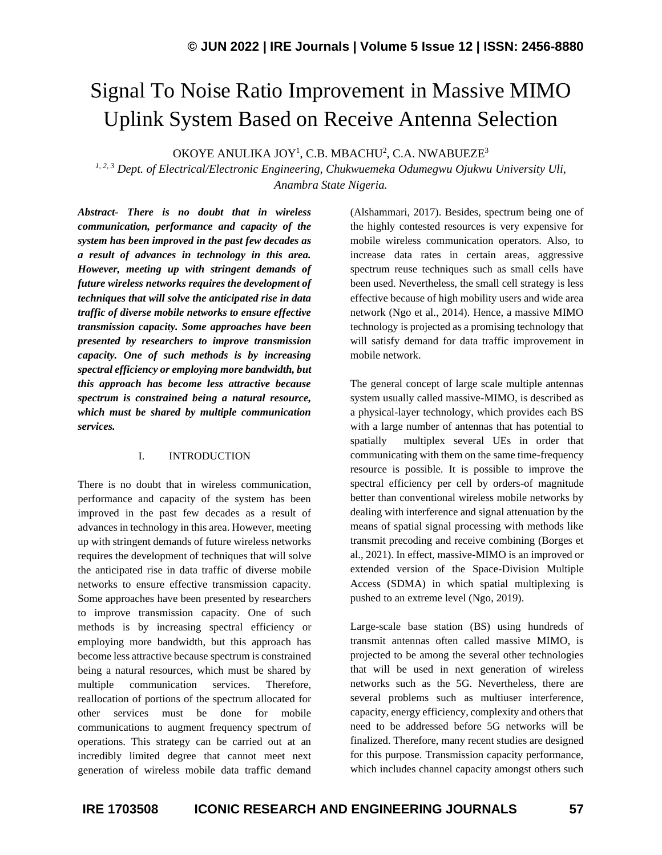# Signal To Noise Ratio Improvement in Massive MIMO Uplink System Based on Receive Antenna Selection

OKOYE ANULIKA JOY<sup>1</sup>, C.B. MBACHU<sup>2</sup>, C.A. NWABUEZE $^3$ 

*1, 2, 3 Dept. of Electrical/Electronic Engineering, Chukwuemeka Odumegwu Ojukwu University Uli, Anambra State Nigeria.*

*Abstract- There is no doubt that in wireless communication, performance and capacity of the system has been improved in the past few decades as a result of advances in technology in this area. However, meeting up with stringent demands of future wireless networks requires the development of techniques that will solve the anticipated rise in data traffic of diverse mobile networks to ensure effective transmission capacity. Some approaches have been presented by researchers to improve transmission capacity. One of such methods is by increasing spectral efficiency or employing more bandwidth, but this approach has become less attractive because spectrum is constrained being a natural resource, which must be shared by multiple communication services.*

## I. INTRODUCTION

There is no doubt that in wireless communication, performance and capacity of the system has been improved in the past few decades as a result of advances in technology in this area. However, meeting up with stringent demands of future wireless networks requires the development of techniques that will solve the anticipated rise in data traffic of diverse mobile networks to ensure effective transmission capacity. Some approaches have been presented by researchers to improve transmission capacity. One of such methods is by increasing spectral efficiency or employing more bandwidth, but this approach has become less attractive because spectrum is constrained being a natural resources, which must be shared by multiple communication services. Therefore, reallocation of portions of the spectrum allocated for other services must be done for mobile communications to augment frequency spectrum of operations. This strategy can be carried out at an incredibly limited degree that cannot meet next generation of wireless mobile data traffic demand (Alshammari, 2017). Besides, spectrum being one of the highly contested resources is very expensive for mobile wireless communication operators. Also, to increase data rates in certain areas, aggressive spectrum reuse techniques such as small cells have been used. Nevertheless, the small cell strategy is less effective because of high mobility users and wide area network (Ngo et al., 2014). Hence, a massive MIMO technology is projected as a promising technology that will satisfy demand for data traffic improvement in mobile network.

The general concept of large scale multiple antennas system usually called massive-MIMO, is described as a physical-layer technology, which provides each BS with a large number of antennas that has potential to spatially multiplex several UEs in order that communicating with them on the same time-frequency resource is possible. It is possible to improve the spectral efficiency per cell by orders-of magnitude better than conventional wireless mobile networks by dealing with interference and signal attenuation by the means of spatial signal processing with methods like transmit precoding and receive combining (Borges et al., 2021). In effect, massive-MIMO is an improved or extended version of the Space-Division Multiple Access (SDMA) in which spatial multiplexing is pushed to an extreme level (Ngo, 2019).

Large-scale base station (BS) using hundreds of transmit antennas often called massive MIMO, is projected to be among the several other technologies that will be used in next generation of wireless networks such as the 5G. Nevertheless, there are several problems such as multiuser interference, capacity, energy efficiency, complexity and others that need to be addressed before 5G networks will be finalized. Therefore, many recent studies are designed for this purpose. Transmission capacity performance, which includes channel capacity amongst others such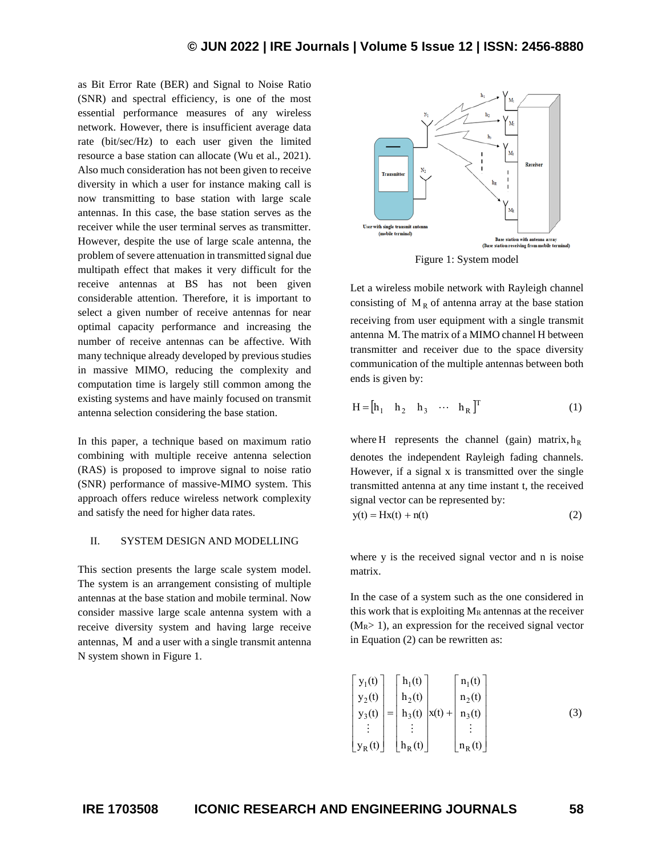as Bit Error Rate (BER) and Signal to Noise Ratio (SNR) and spectral efficiency, is one of the most essential performance measures of any wireless network. However, there is insufficient average data rate (bit/sec/Hz) to each user given the limited resource a base station can allocate (Wu et al., 2021). Also much consideration has not been given to receive diversity in which a user for instance making call is now transmitting to base station with large scale antennas. In this case, the base station serves as the receiver while the user terminal serves as transmitter. However, despite the use of large scale antenna, the problem of severe attenuation in transmitted signal due multipath effect that makes it very difficult for the receive antennas at BS has not been given considerable attention. Therefore, it is important to select a given number of receive antennas for near optimal capacity performance and increasing the number of receive antennas can be affective. With many technique already developed by previous studies in massive MIMO, reducing the complexity and computation time is largely still common among the existing systems and have mainly focused on transmit antenna selection considering the base station.

In this paper, a technique based on maximum ratio combining with multiple receive antenna selection (RAS) is proposed to improve signal to noise ratio (SNR) performance of massive-MIMO system. This approach offers reduce wireless network complexity and satisfy the need for higher data rates.

#### II. SYSTEM DESIGN AND MODELLING

This section presents the large scale system model. The system is an arrangement consisting of multiple antennas at the base station and mobile terminal. Now consider massive large scale antenna system with a receive diversity system and having large receive antennas, M and a user with a single transmit antenna N system shown in Figure 1.



Figure 1: System model

Let a wireless mobile network with Rayleigh channel consisting of  $M_R$  of antenna array at the base station receiving from user equipment with a single transmit antenna M. The matrix of a MIMO channel H between transmitter and receiver due to the space diversity communication of the multiple antennas between both ends is given by:

$$
H = [h_1 \quad h_2 \quad h_3 \quad \cdots \quad h_R]^T
$$
 (1)

where H represents the channel (gain) matrix,  $h_R$ denotes the independent Rayleigh fading channels. However, if a signal x is transmitted over the single transmitted antenna at any time instant t, the received signal vector can be represented by:  $y(t) = Hx(t) + n(t)$  (2)

where y is the received signal vector and n is noise matrix.

In the case of a system such as the one considered in this work that is exploiting  $M_R$  antennas at the receiver  $(M_R> 1)$ , an expression for the received signal vector in Equation (2) can be rewritten as:

$$
\begin{bmatrix} y_1(t) \\ y_2(t) \\ y_3(t) \\ \vdots \\ y_R(t) \end{bmatrix} = \begin{bmatrix} h_1(t) \\ h_2(t) \\ h_3(t) \\ \vdots \\ h_R(t) \end{bmatrix} x(t) + \begin{bmatrix} n_1(t) \\ n_2(t) \\ n_3(t) \\ \vdots \\ n_R(t) \end{bmatrix}
$$
 (3)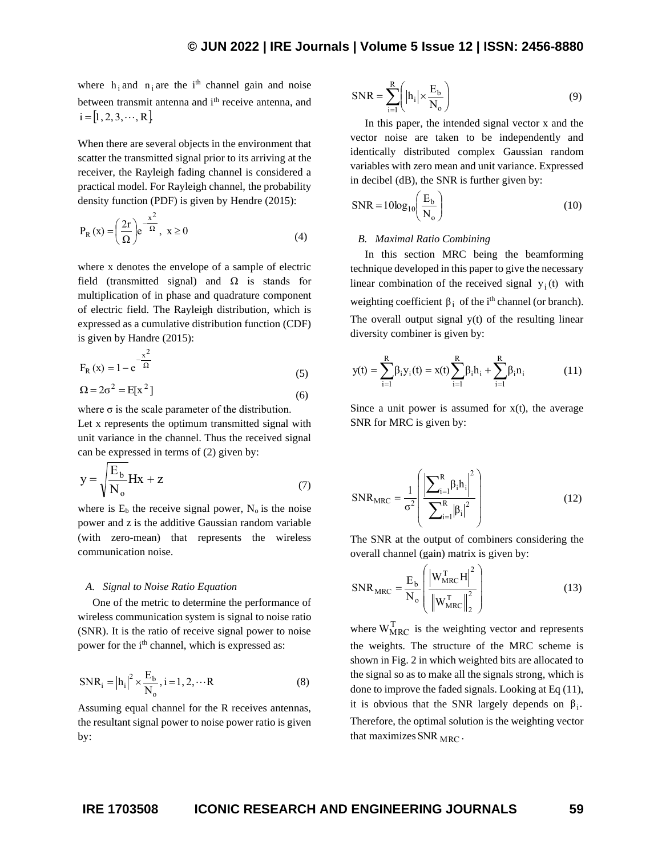where  $h_i$  and  $n_i$  are the i<sup>th</sup> channel gain and noise between transmit antenna and i<sup>th</sup> receive antenna, and  $i = [1, 2, 3, \dots, R]$ 

When there are several objects in the environment that scatter the transmitted signal prior to its arriving at the receiver, the Rayleigh fading channel is considered a practical model. For Rayleigh channel, the probability density function (PDF) is given by Hendre (2015):

$$
P_R(x) = \left(\frac{2r}{\Omega}\right) e^{-\frac{x^2}{\Omega}}, \ x \ge 0
$$
 (4)

where x denotes the envelope of a sample of electric field (transmitted signal) and  $\Omega$  is stands for multiplication of in phase and quadrature component of electric field. The Rayleigh distribution, which is expressed as a cumulative distribution function (CDF) is given by Handre (2015):

$$
F_R(x) = 1 - e^{-\frac{x^2}{\Omega}}
$$
  
\n
$$
\Omega = 2\sigma^2 = E[x^2]
$$
\n(5)

$$
\Sigma 2 - 20 = E[X]
$$
\n
$$
(6)
$$

where  $\sigma$  is the scale parameter of the distribution.

Let x represents the optimum transmitted signal with unit variance in the channel. Thus the received signal can be expressed in terms of (2) given by:

$$
y = \sqrt{\frac{E_b}{N_o}} Hx + z \tag{7}
$$

where is  $E_b$  the receive signal power,  $N_o$  is the noise power and z is the additive Gaussian random variable (with zero-mean) that represents the wireless communication noise.

#### *A. Signal to Noise Ratio Equation*

One of the metric to determine the performance of wireless communication system is signal to noise ratio (SNR). It is the ratio of receive signal power to noise power for the i<sup>th</sup> channel, which is expressed as:

$$
SNR_{i} = |h_{i}|^{2} \times \frac{E_{b}}{N_{o}}, i = 1, 2, \cdots R
$$
 (8)

Assuming equal channel for the R receives antennas, the resultant signal power to noise power ratio is given by:

$$
SNR = \sum_{i=1}^{R} \left( |h_i| \times \frac{E_b}{N_o} \right)
$$
 (9)

In this paper, the intended signal vector x and the vector noise are taken to be independently and identically distributed complex Gaussian random variables with zero mean and unit variance. Expressed in decibel (dB), the SNR is further given by:

$$
SNR = 10\log_{10}\left(\frac{E_b}{N_o}\right) \tag{10}
$$

## *B. Maximal Ratio Combining*

In this section MRC being the beamforming technique developed in this paper to give the necessary linear combination of the received signal  $y_i(t)$  with weighting coefficient  $\beta_i$  of the i<sup>th</sup> channel (or branch). The overall output signal  $y(t)$  of the resulting linear diversity combiner is given by:

$$
y(t) = \sum_{i=1}^{R} \beta_i y_i(t) = x(t) \sum_{i=1}^{R} \beta_i h_i + \sum_{i=1}^{R} \beta_i n_i
$$
 (11)

Since a unit power is assumed for  $x(t)$ , the average SNR for MRC is given by:

$$
SNR_{MRC} = \frac{1}{\sigma^2} \left( \frac{\left| \sum_{i=1}^{R} \beta_i h_i \right|^2}{\sum_{i=1}^{R} |\beta_i|^2} \right)
$$
(12)

The SNR at the output of combiners considering the overall channel (gain) matrix is given by:

$$
SNR_{MRC} = \frac{E_b}{N_o} \left( \frac{\left| W_{MRC}^{\text{T}} H \right|^2}{\left\| W_{MRC}^{\text{T}} \right\|_2^2} \right)
$$
 (13)

where  $W_{MRC}^{T}$  is the weighting vector and represents the weights. The structure of the MRC scheme is shown in Fig. 2 in which weighted bits are allocated to the signal so as to make all the signals strong, which is done to improve the faded signals. Looking at Eq (11), it is obvious that the SNR largely depends on  $\beta_i$ . Therefore, the optimal solution is the weighting vector that maximizes  $\text{SNR}_{\text{MRC}}$ .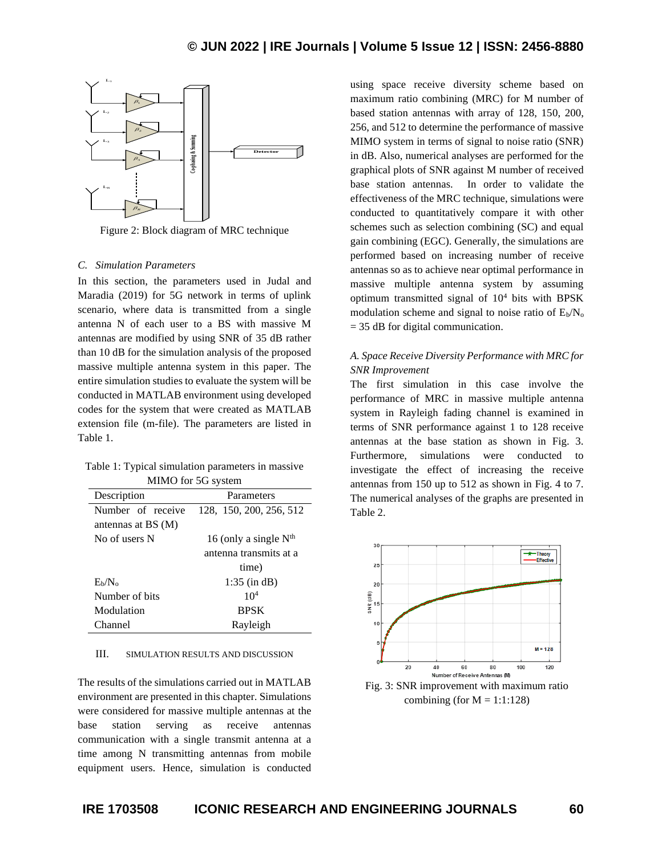

Figure 2: Block diagram of MRC technique

#### *C. Simulation Parameters*

In this section, the parameters used in Judal and Maradia (2019) for 5G network in terms of uplink scenario, where data is transmitted from a single antenna N of each user to a BS with massive M antennas are modified by using SNR of 35 dB rather than 10 dB for the simulation analysis of the proposed massive multiple antenna system in this paper. The entire simulation studies to evaluate the system will be conducted in MATLAB environment using developed codes for the system that were created as MATLAB extension file (m-file). The parameters are listed in Table 1.

| Table 1: Typical simulation parameters in massive |
|---------------------------------------------------|
| MIMO for 5G system                                |

| Description           | Parameters              |  |  |  |
|-----------------------|-------------------------|--|--|--|
| Number of receive     | 128, 150, 200, 256, 512 |  |  |  |
| antennas at $BS(M)$   |                         |  |  |  |
| No of users N         | 16 (only a single $Nth$ |  |  |  |
|                       | antenna transmits at a  |  |  |  |
|                       | time)                   |  |  |  |
| $E_{\rm b}/N_{\rm o}$ | $1:35$ (in dB)          |  |  |  |
| Number of hits        | 10 <sup>4</sup>         |  |  |  |
| Modulation            | <b>BPSK</b>             |  |  |  |
| Channel               | Rayleigh                |  |  |  |

## III. SIMULATION RESULTS AND DISCUSSION

The results of the simulations carried out in MATLAB environment are presented in this chapter. Simulations were considered for massive multiple antennas at the base station serving as receive antennas communication with a single transmit antenna at a time among N transmitting antennas from mobile equipment users. Hence, simulation is conducted

using space receive diversity scheme based on maximum ratio combining (MRC) for M number of based station antennas with array of 128, 150, 200, 256, and 512 to determine the performance of massive MIMO system in terms of signal to noise ratio (SNR) in dB. Also, numerical analyses are performed for the graphical plots of SNR against M number of received base station antennas. In order to validate the effectiveness of the MRC technique, simulations were conducted to quantitatively compare it with other schemes such as selection combining (SC) and equal gain combining (EGC). Generally, the simulations are performed based on increasing number of receive antennas so as to achieve near optimal performance in massive multiple antenna system by assuming optimum transmitted signal of  $10<sup>4</sup>$  bits with BPSK modulation scheme and signal to noise ratio of  $E_b/N_o$ = 35 dB for digital communication.

# *A. Space Receive Diversity Performance with MRC for SNR Improvement*

The first simulation in this case involve the performance of MRC in massive multiple antenna system in Rayleigh fading channel is examined in terms of SNR performance against 1 to 128 receive antennas at the base station as shown in Fig. 3. Furthermore, simulations were conducted to investigate the effect of increasing the receive antennas from 150 up to 512 as shown in Fig. 4 to 7. The numerical analyses of the graphs are presented in Table 2.



combining (for  $M = 1:1:128$ )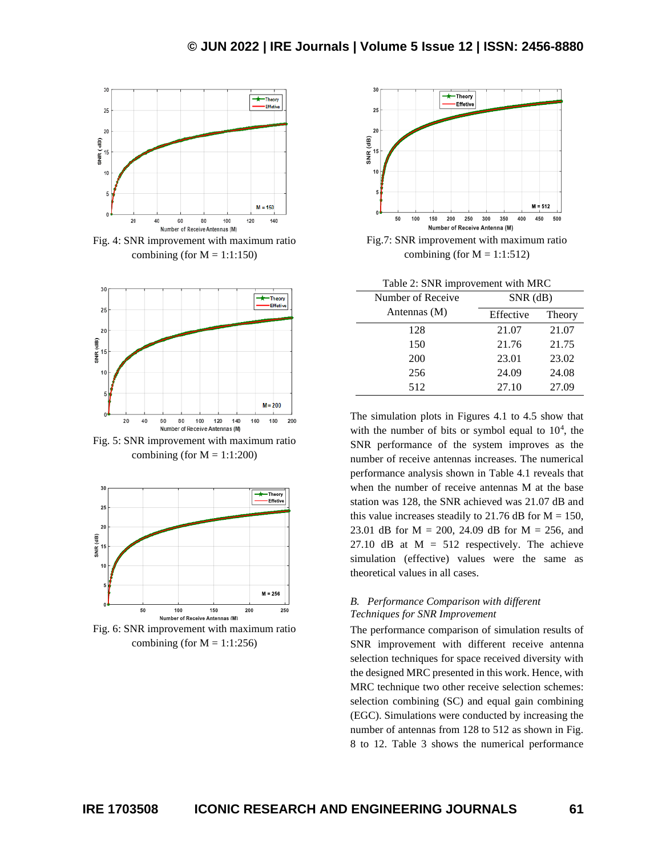

Fig. 4: SNR improvement with maximum ratio combining (for  $M = 1:1:150$ )



Fig. 5: SNR improvement with maximum ratio combining (for  $M = 1:1:200$ )







Fig.7: SNR improvement with maximum ratio combining (for  $M = 1:1:512$ )

|  | Table 2: SNR improvement with MRC |  |  |
|--|-----------------------------------|--|--|
|--|-----------------------------------|--|--|

| Number of Receive | $SNR$ (dB) |        |  |
|-------------------|------------|--------|--|
| Antennas (M)      | Effective  | Theory |  |
| 128               | 21.07      | 21.07  |  |
| 150               | 21.76      | 21.75  |  |
| 200               | 23.01      | 23.02  |  |
| 256               | 24.09      | 24.08  |  |
| 512               | 27.10      | 27.09  |  |

The simulation plots in Figures 4.1 to 4.5 show that with the number of bits or symbol equal to  $10<sup>4</sup>$ , the SNR performance of the system improves as the number of receive antennas increases. The numerical performance analysis shown in Table 4.1 reveals that when the number of receive antennas M at the base station was 128, the SNR achieved was 21.07 dB and this value increases steadily to 21.76 dB for  $M = 150$ , 23.01 dB for M = 200, 24.09 dB for M = 256, and 27.10 dB at  $M = 512$  respectively. The achieve simulation (effective) values were the same as theoretical values in all cases.

## *B. Performance Comparison with different Techniques for SNR Improvement*

The performance comparison of simulation results of SNR improvement with different receive antenna selection techniques for space received diversity with the designed MRC presented in this work. Hence, with MRC technique two other receive selection schemes: selection combining (SC) and equal gain combining (EGC). Simulations were conducted by increasing the number of antennas from 128 to 512 as shown in Fig. 8 to 12. Table 3 shows the numerical performance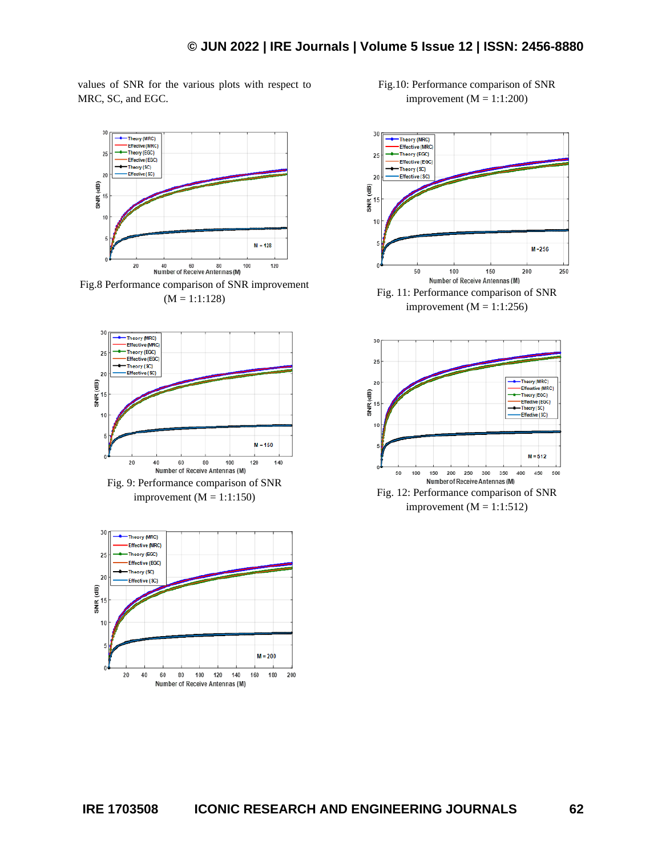values of SNR for the various plots with respect to MRC, SC, and EGC.



Fig.8 Performance comparison of SNR improvement  $(M = 1:1:128)$ 





Fig.10: Performance comparison of SNR improvement  $(M = 1:1:200)$ 

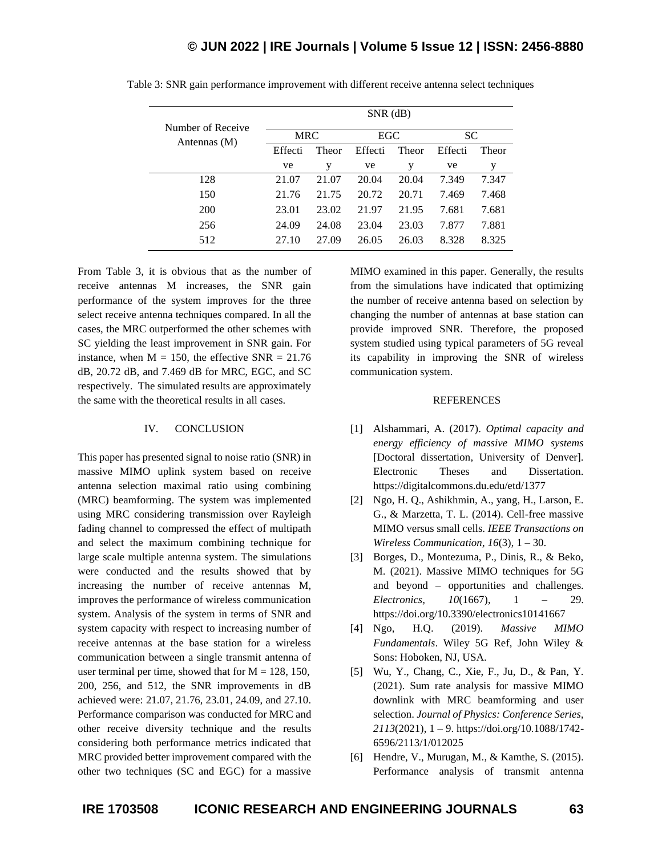| Number of Receive | $SNR$ (dB) |       |         |       |           |       |
|-------------------|------------|-------|---------|-------|-----------|-------|
| Antennas (M)      | <b>MRC</b> |       | EGC     |       | <b>SC</b> |       |
|                   | Effecti    | Theor | Effecti | Theor | Effecti   | Theor |
|                   | ve         | у     | ve      | y     | ve        | у     |
| 128               | 21.07      | 21.07 | 20.04   | 20.04 | 7.349     | 7.347 |
| 150               | 21.76      | 21.75 | 20.72   | 20.71 | 7.469     | 7.468 |
| <b>200</b>        | 23.01      | 23.02 | 21.97   | 21.95 | 7.681     | 7.681 |
| 256               | 24.09      | 24.08 | 23.04   | 23.03 | 7.877     | 7.881 |
| 512               | 27.10      | 27.09 | 26.05   | 26.03 | 8.328     | 8.325 |

Table 3: SNR gain performance improvement with different receive antenna select techniques

From Table 3, it is obvious that as the number of receive antennas M increases, the SNR gain performance of the system improves for the three select receive antenna techniques compared. In all the cases, the MRC outperformed the other schemes with SC yielding the least improvement in SNR gain. For instance, when  $M = 150$ , the effective SNR = 21.76 dB, 20.72 dB, and 7.469 dB for MRC, EGC, and SC respectively. The simulated results are approximately the same with the theoretical results in all cases.

## IV. CONCLUSION

This paper has presented signal to noise ratio (SNR) in massive MIMO uplink system based on receive antenna selection maximal ratio using combining (MRC) beamforming. The system was implemented using MRC considering transmission over Rayleigh fading channel to compressed the effect of multipath and select the maximum combining technique for large scale multiple antenna system. The simulations were conducted and the results showed that by increasing the number of receive antennas M, improves the performance of wireless communication system. Analysis of the system in terms of SNR and system capacity with respect to increasing number of receive antennas at the base station for a wireless communication between a single transmit antenna of user terminal per time, showed that for  $M = 128, 150$ , 200, 256, and 512, the SNR improvements in dB achieved were: 21.07, 21.76, 23.01, 24.09, and 27.10. Performance comparison was conducted for MRC and other receive diversity technique and the results considering both performance metrics indicated that MRC provided better improvement compared with the other two techniques (SC and EGC) for a massive

MIMO examined in this paper. Generally, the results from the simulations have indicated that optimizing the number of receive antenna based on selection by changing the number of antennas at base station can provide improved SNR. Therefore, the proposed system studied using typical parameters of 5G reveal its capability in improving the SNR of wireless communication system.

### **REFERENCES**

- [1] Alshammari, A. (2017). *Optimal capacity and energy efficiency of massive MIMO systems* [Doctoral dissertation, University of Denver]. Electronic Theses and Dissertation. https://digitalcommons.du.edu/etd/1377
- [2] Ngo, H. Q., Ashikhmin, A., yang, H., Larson, E. G., & Marzetta, T. L. (2014). Cell-free massive MIMO versus small cells. *IEEE Transactions on Wireless Communication, 16*(3), 1 – 30.
- [3] Borges, D., Montezuma, P., Dinis, R., & Beko, M. (2021). Massive MIMO techniques for 5G and beyond – opportunities and challenges. *Electronics, 10*(1667), 1 – 29. https://doi.org/10.3390/electronics10141667
- [4] Ngo, H.Q. (2019). *Massive MIMO Fundamentals*. Wiley 5G Ref, John Wiley & Sons: Hoboken, NJ, USA.
- [5] Wu, Y., Chang, C., Xie, F., Ju, D., & Pan, Y. (2021). Sum rate analysis for massive MIMO downlink with MRC beamforming and user selection. *Journal of Physics: Conference Series, 2113*(2021), 1 – 9. https://doi.org/10.1088/1742- 6596/2113/1/012025
- [6] Hendre, V., Murugan, M., & Kamthe, S. (2015). Performance analysis of transmit antenna